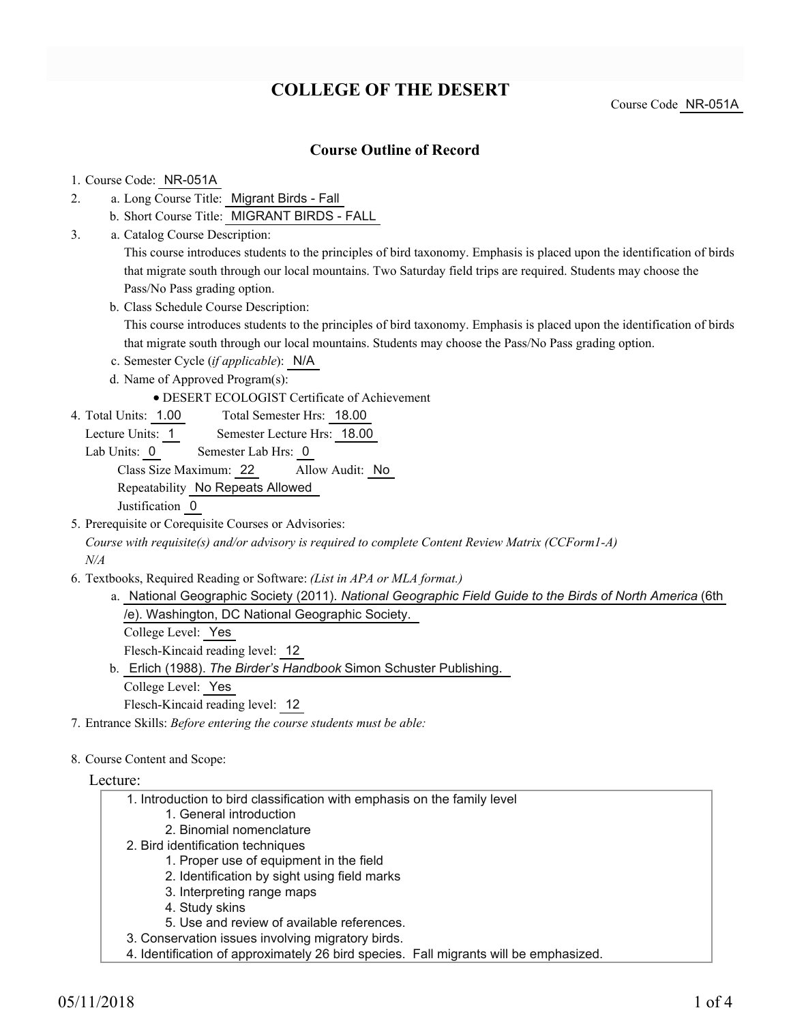# **COLLEGE OF THE DESERT**

Course Code NR-051A

## **Course Outline of Record**

#### 1. Course Code: NR-051A

- a. Long Course Title: Migrant Birds Fall 2.
	- b. Short Course Title: MIGRANT BIRDS FALL
- Catalog Course Description: a. 3.

This course introduces students to the principles of bird taxonomy. Emphasis is placed upon the identification of birds that migrate south through our local mountains. Two Saturday field trips are required. Students may choose the Pass/No Pass grading option.

b. Class Schedule Course Description:

This course introduces students to the principles of bird taxonomy. Emphasis is placed upon the identification of birds that migrate south through our local mountains. Students may choose the Pass/No Pass grading option.

- c. Semester Cycle (*if applicable*): N/A
- d. Name of Approved Program(s):
	- DESERT ECOLOGIST Certificate of Achievement
- Total Semester Hrs: 18.00 4. Total Units: 1.00
	- Lecture Units: 1 Semester Lecture Hrs: 18.00
	- Lab Units: 0 Semester Lab Hrs: 0 Class Size Maximum: 22 Allow Audit: No

Repeatability No Repeats Allowed

Justification 0

5. Prerequisite or Corequisite Courses or Advisories:

*Course with requisite(s) and/or advisory is required to complete Content Review Matrix (CCForm1-A) N/A*

- Textbooks, Required Reading or Software: *(List in APA or MLA format.)* 6.
	- a. National Geographic Society (2011). *National Geographic Field Guide to the Birds of North America* (6th /e). Washington, DC National Geographic Society.
		- College Level: Yes

Flesch-Kincaid reading level: 12

b. Erlich (1988). The Birder's Handbook Simon Schuster Publishing. College Level: Yes

Flesch-Kincaid reading level: 12

- 7. Entrance Skills: *Before entering the course students must be able:*
- 8. Course Content and Scope:

#### Lecture:

- 1. Introduction to bird classification with emphasis on the family level
	- 1. General introduction
	- 2. Binomial nomenclature
- 2. Bird identification techniques
	- 1. Proper use of equipment in the field
	- 2. Identification by sight using field marks
	- 3. Interpreting range maps
	- 4. Study skins
	- 5. Use and review of available references.
- 3. Conservation issues involving migratory birds.
- 4. Identification of approximately 26 bird species. Fall migrants will be emphasized.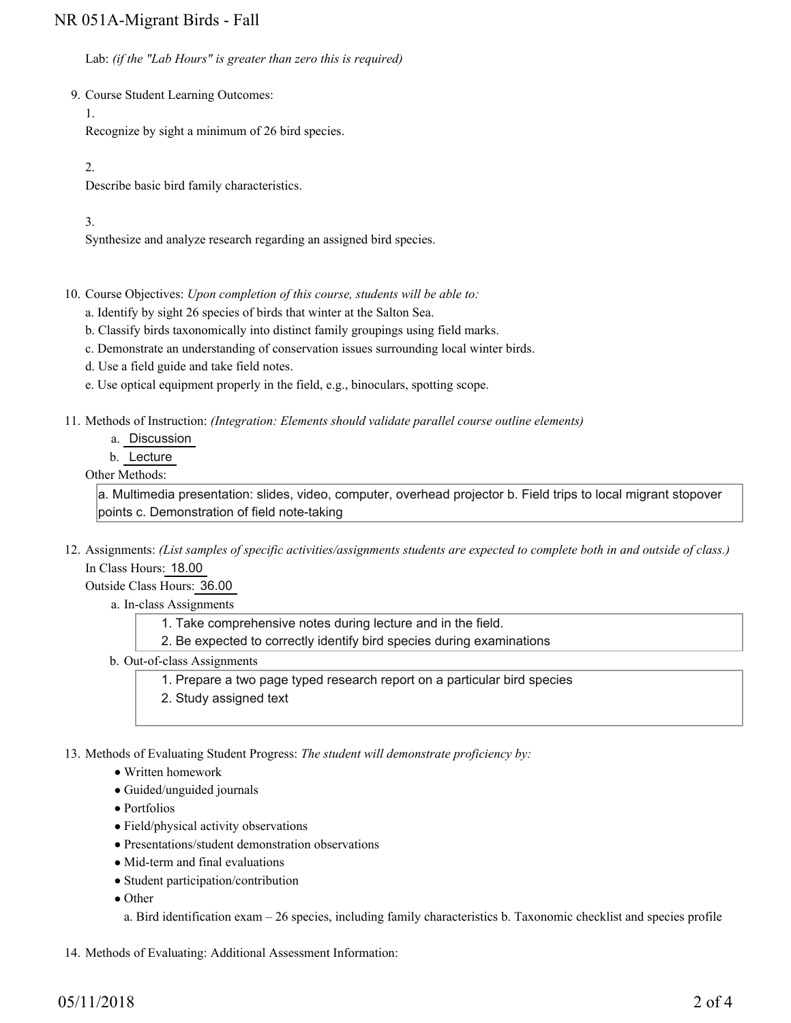## NR 051A-Migrant Birds - Fall

Lab: *(if the "Lab Hours" is greater than zero this is required)*

9. Course Student Learning Outcomes:

1.

Recognize by sight a minimum of 26 bird species.

2.

Describe basic bird family characteristics.

3.

Synthesize and analyze research regarding an assigned bird species.

10. Course Objectives: Upon completion of this course, students will be able to:

a. Identify by sight 26 species of birds that winter at the Salton Sea.

b. Classify birds taxonomically into distinct family groupings using field marks.

c. Demonstrate an understanding of conservation issues surrounding local winter birds.

d. Use a field guide and take field notes.

e. Use optical equipment properly in the field, e.g., binoculars, spotting scope.

Methods of Instruction: *(Integration: Elements should validate parallel course outline elements)* 11.

- a. Discussion
- b. Lecture

Other Methods:

a. Multimedia presentation: slides, video, computer, overhead projector b. Field trips to local migrant stopover points c. Demonstration of field note-taking

12. Assignments: (List samples of specific activities/assignments students are expected to complete both in and outside of class.) In Class Hours: 18.00

Outside Class Hours: 36.00

a. In-class Assignments

1. Take comprehensive notes during lecture and in the field.

2. Be expected to correctly identify bird species during examinations

b. Out-of-class Assignments

1. Prepare a two page typed research report on a particular bird species

2. Study assigned text

13. Methods of Evaluating Student Progress: The student will demonstrate proficiency by:

- Written homework
- Guided/unguided journals
- Portfolios
- Field/physical activity observations
- Presentations/student demonstration observations
- Mid-term and final evaluations
- Student participation/contribution

• Other

a. Bird identification exam – 26 species, including family characteristics b. Taxonomic checklist and species profile

14. Methods of Evaluating: Additional Assessment Information: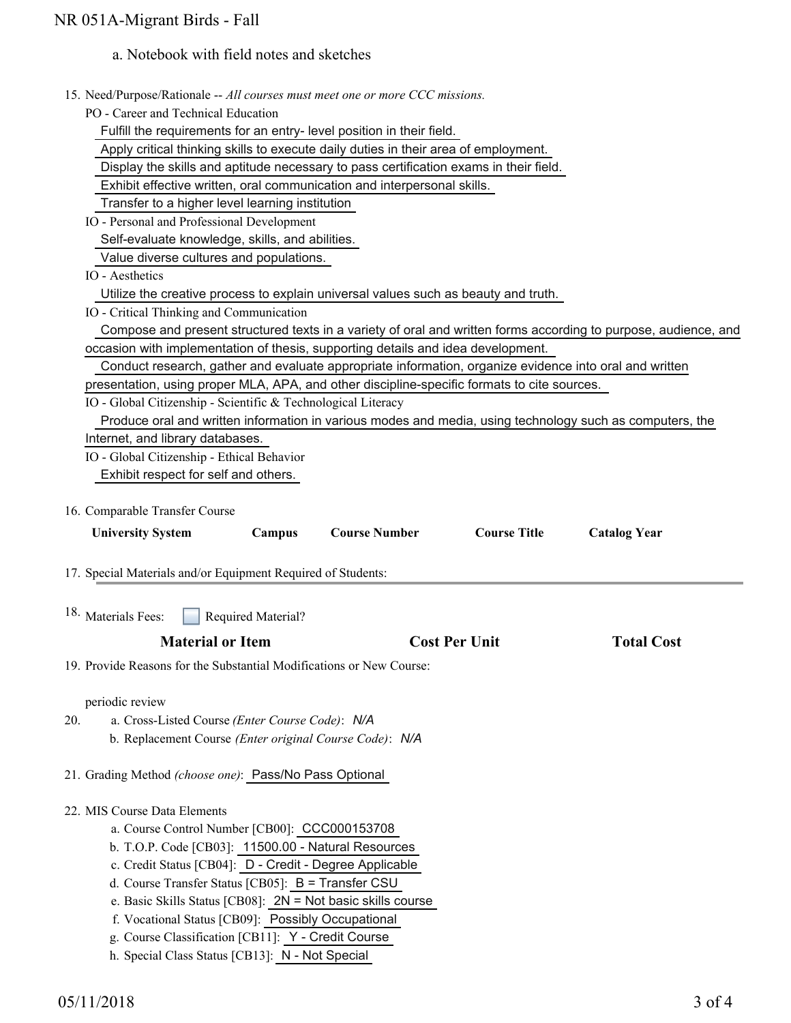- a. Notebook with field notes and sketches
- 15. Need/Purpose/Rationale -- All courses must meet one or more CCC missions.

PO - Career and Technical Education

Fulfill the requirements for an entry- level position in their field.

Apply critical thinking skills to execute daily duties in their area of employment.

Display the skills and aptitude necessary to pass certification exams in their field.

Exhibit effective written, oral communication and interpersonal skills.

Transfer to a higher level learning institution

IO - Personal and Professional Development

Self-evaluate knowledge, skills, and abilities.

Value diverse cultures and populations.

IO - Aesthetics

Utilize the creative process to explain universal values such as beauty and truth.

IO - Critical Thinking and Communication

 Compose and present structured texts in a variety of oral and written forms according to purpose, audience, and occasion with implementation of thesis, supporting details and idea development.

Conduct research, gather and evaluate appropriate information, organize evidence into oral and written

presentation, using proper MLA, APA, and other discipline-specific formats to cite sources.

IO - Global Citizenship - Scientific & Technological Literacy

 Produce oral and written information in various modes and media, using technology such as computers, the Internet, and library databases.

IO - Global Citizenship - Ethical Behavior

Exhibit respect for self and others.

16. Comparable Transfer Course

|                                                                                                                                                                                                | Campus                                                                                     | <b>Course Number</b> | <b>Course Title</b>                                                                                                                                                                                                                     | <b>Catalog Year</b> |  |
|------------------------------------------------------------------------------------------------------------------------------------------------------------------------------------------------|--------------------------------------------------------------------------------------------|----------------------|-----------------------------------------------------------------------------------------------------------------------------------------------------------------------------------------------------------------------------------------|---------------------|--|
| 17. Special Materials and/or Equipment Required of Students:                                                                                                                                   |                                                                                            |                      |                                                                                                                                                                                                                                         |                     |  |
|                                                                                                                                                                                                |                                                                                            |                      |                                                                                                                                                                                                                                         |                     |  |
| <b>Material or Item</b>                                                                                                                                                                        |                                                                                            | <b>Cost Per Unit</b> |                                                                                                                                                                                                                                         | <b>Total Cost</b>   |  |
| 19. Provide Reasons for the Substantial Modifications or New Course:                                                                                                                           |                                                                                            |                      |                                                                                                                                                                                                                                         |                     |  |
| periodic review<br>a. Cross-Listed Course (Enter Course Code): N/A<br>20.<br>b. Replacement Course (Enter original Course Code): N/A<br>21. Grading Method (choose one): Pass/No Pass Optional |                                                                                            |                      |                                                                                                                                                                                                                                         |                     |  |
|                                                                                                                                                                                                |                                                                                            |                      |                                                                                                                                                                                                                                         |                     |  |
| a. Course Control Number [CB00]: CCC000153708                                                                                                                                                  |                                                                                            |                      |                                                                                                                                                                                                                                         |                     |  |
|                                                                                                                                                                                                |                                                                                            |                      |                                                                                                                                                                                                                                         |                     |  |
|                                                                                                                                                                                                |                                                                                            |                      |                                                                                                                                                                                                                                         |                     |  |
|                                                                                                                                                                                                |                                                                                            |                      |                                                                                                                                                                                                                                         |                     |  |
|                                                                                                                                                                                                |                                                                                            |                      |                                                                                                                                                                                                                                         |                     |  |
|                                                                                                                                                                                                | <b>University System</b><br><sup>18.</sup> Materials Fees:<br>22. MIS Course Data Elements | Required Material?   | b. T.O.P. Code [CB03]: 11500.00 - Natural Resources<br>c. Credit Status [CB04]: D - Credit - Degree Applicable<br>d. Course Transfer Status [CB05]: $B =$ Transfer CSU<br>e. Basic Skills Status [CB08]: $2N = Not basic skills course$ |                     |  |

- f. Vocational Status [CB09]: Possibly Occupational
- g. Course Classification [CB11]: Y Credit Course
- h. Special Class Status [CB13]: N Not Special